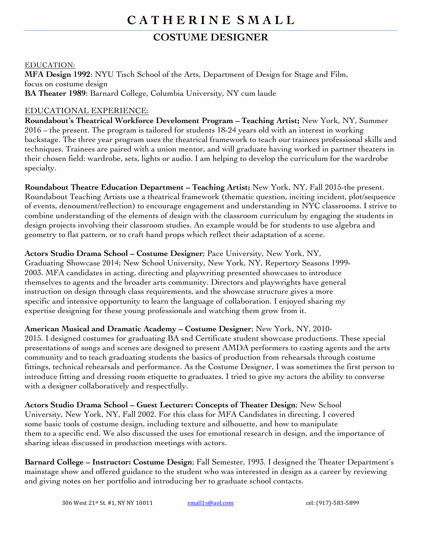## **C A T H E R I N E S M A L L**

### **COSTUME DESIGNER**

#### EDUCATION:

**MFA Design 1992**: NYU Tisch School of the Arts, Department of Design for Stage and Film, focus on costume design **BA Theater 1989**: Barnard College, Columbia University, NY cum laude

### EDUCATIONAL EXPERIENCE:

**Roundabout's Theatrical Workforce Develoment Program – Teaching Artist;** New York, NY, Summer 2016 – the present. The program is tailored for students 18-24 years old with an interest in working backstage. The three year program uses the theatrical framework to teach our trainees professional skills and techniques. Trainees are paired with a union mentor, and will graduate having worked in partner theaters in their chosen field: wardrobe, sets, lights or audio. I am helping to develop the curriculum for the wardrobe specialty.

**Roundabout Theatre Education Department – Teaching Artist;** New York, NY, Fall 2015-the present. Roundabout Teaching Artists use a theatrical framework (thematic question, inciting incident, plot/sequence of events, denoument/reflection) to encourage engagement and understanding in NYC classrooms. I strive to combine understanding of the elements of design with the classroom curriculum by engaging the students in design projects involving their classroom studies. An example would be for students to use algebra and geometry to flat pattern, or to craft hand props which reflect their adaptation of a scene.

### **Actors Studio Drama School – Costume Designer**; Pace University, New York, NY,

Graduating Showcase 2014; New School University, New York, NY, Repertory Seasons 1999- 2003. MFA candidates in acting, directing and playwriting presented showcases to introduce themselves to agents and the broader arts community. Directors and playwrights have general instruction on design through class requirements, and the showcase structure gives a more specific and intensive opportunity to learn the language of collaboration. I enjoyed sharing my expertise designing for these young professionals and watching them grow from it.

#### **American Musical and Dramatic Academy – Costume Designer**; New York, NY, 2010-

2015. I designed costumes for graduating BA snd Certificate student showcase productions. These special presentations of songs and scenes are designed to present AMDA performers to casting agents and the arts community and to teach graduating students the basics of production from rehearsals through costume fittings, technical rehearsals and performance. As the Costume Designer, I was sometimes the first person to introduce fitting and dressing room etiquette to graduates. I tried to give my actors the ability to converse with a designer collaboratively and respectfully.

**Actors Studio Drama School – Guest Lecturer: Concepts of Theater Design**; New School University, New York, NY, Fall 2002. For this class for MFA Candidates in directing, I covered some basic tools of costume design, including texture and silhouette, and how to manipulate them to a specific end. We also discussed the uses for emotional research in design, and the importance of sharing ideas discussed in production meetings with actors.

**Barnard College – Instructor: Costume Design**; Fall Semester, 1993. I designed the Theater Department's mainstage show and offered guidance to the student who was interested in design as a career by reviewing and giving notes on her portfolio and introducing her to graduate school contacts.